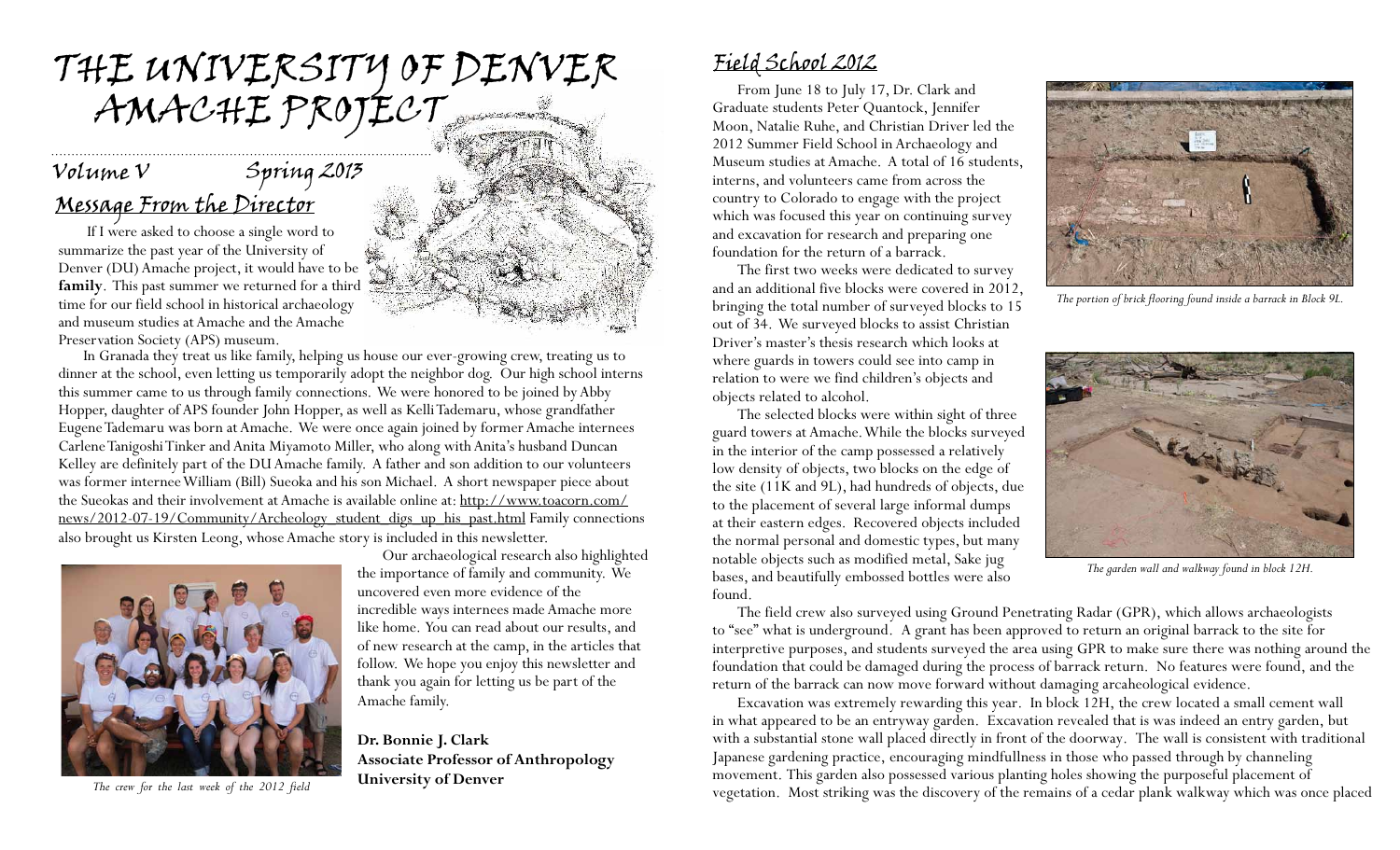# the university of denver AMACHE PROJECT

### Message From the Director Volume V Spring 2013

 If I were asked to choose a single word to summarize the past year of the University of Denver (DU) Amache project, it would have to be **family**. This past summer we returned for a third time for our field school in historical archaeology and museum studies at Amache and the Amache Preservation Society (APS) museum.

In Granada they treat us like family, helping us house our ever-growing crew, treating us to dinner at the school, even letting us temporarily adopt the neighbor dog. Our high school interns this summer came to us through family connections. We were honored to be joined by Abby Hopper, daughter of APS founder John Hopper, as well as Kelli Tademaru, whose grandfather Eugene Tademaru was born at Amache. We were once again joined by former Amache internees Carlene Tanigoshi Tinker and Anita Miyamoto Miller, who along with Anita's husband Duncan Kelley are definitely part of the DU Amache family. A father and son addition to our volunteers was former internee William (Bill) Sueoka and his son Michael. A short newspaper piece about the Sueokas and their involvement at Amache is available online at: http://www.toacorn.com/ news/2012-07-19/Community/Archeology\_student\_digs\_up\_his\_past.html Family connections also brought us Kirsten Leong, whose Amache story is included in this newsletter.



**University of Denver** *The crew for the last week of the 2012 field* 



Our archaeological research also highlighted the importance of family and community. We

uncovered even more evidence of the

Amache family.

**Dr. Bonnie J. Clark** 

incredible ways internees made Amache more like home. You can read about our results, and of new research at the camp, in the articles that follow. We hope you enjoy this newsletter and thank you again for letting us be part of the

**Associate Professor of Anthropology** 

### Field School 2012

From June 18 to July 17, Dr. Clark and Graduate students Peter Quantock, Jennifer Moon, Natalie Ruhe, and Christian Driver led the 2012 Summer Field School in Archaeology and Museum studies at Amache. A total of 16 students, interns, and volunteers came from across the country to Colorado to engage with the project which was focused this year on continuing survey and excavation for research and preparing one foundation for the return of a barrack.

The first two weeks were dedicated to survey and an additional five blocks were covered in 2012, bringing the total number of surveyed blocks to 15 out of 34. We surveyed blocks to assist Christian Driver's master's thesis research which looks at where guards in towers could see into camp in relation to were we find children's objects and objects related to alcohol.

The selected blocks were within sight of three guard towers at Amache. While the blocks surveyed in the interior of the camp possessed a relatively low density of objects, two blocks on the edge of the site (11K and 9L), had hundreds of objects, due to the placement of several large informal dumps at their eastern edges. Recovered objects included the normal personal and domestic types, but many notable objects such as modified metal, Sake jug bases, and beautifully embossed bottles were also found.



*The portion of brick flooring found inside a barrack in Block 9L.*



*The garden wall and walkway found in block 12H.*

The field crew also surveyed using Ground Penetrating Radar (GPR), which allows archaeologists to "see" what is underground. A grant has been approved to return an original barrack to the site for interpretive purposes, and students surveyed the area using GPR to make sure there was nothing around the foundation that could be damaged during the process of barrack return. No features were found, and the return of the barrack can now move forward without damaging arcaheological evidence.

Excavation was extremely rewarding this year. In block 12H, the crew located a small cement wall in what appeared to be an entryway garden. Excavation revealed that is was indeed an entry garden, but with a substantial stone wall placed directly in front of the doorway. The wall is consistent with traditional Japanese gardening practice, encouraging mindfullness in those who passed through by channeling movement. This garden also possessed various planting holes showing the purposeful placement of vegetation. Most striking was the discovery of the remains of a cedar plank walkway which was once placed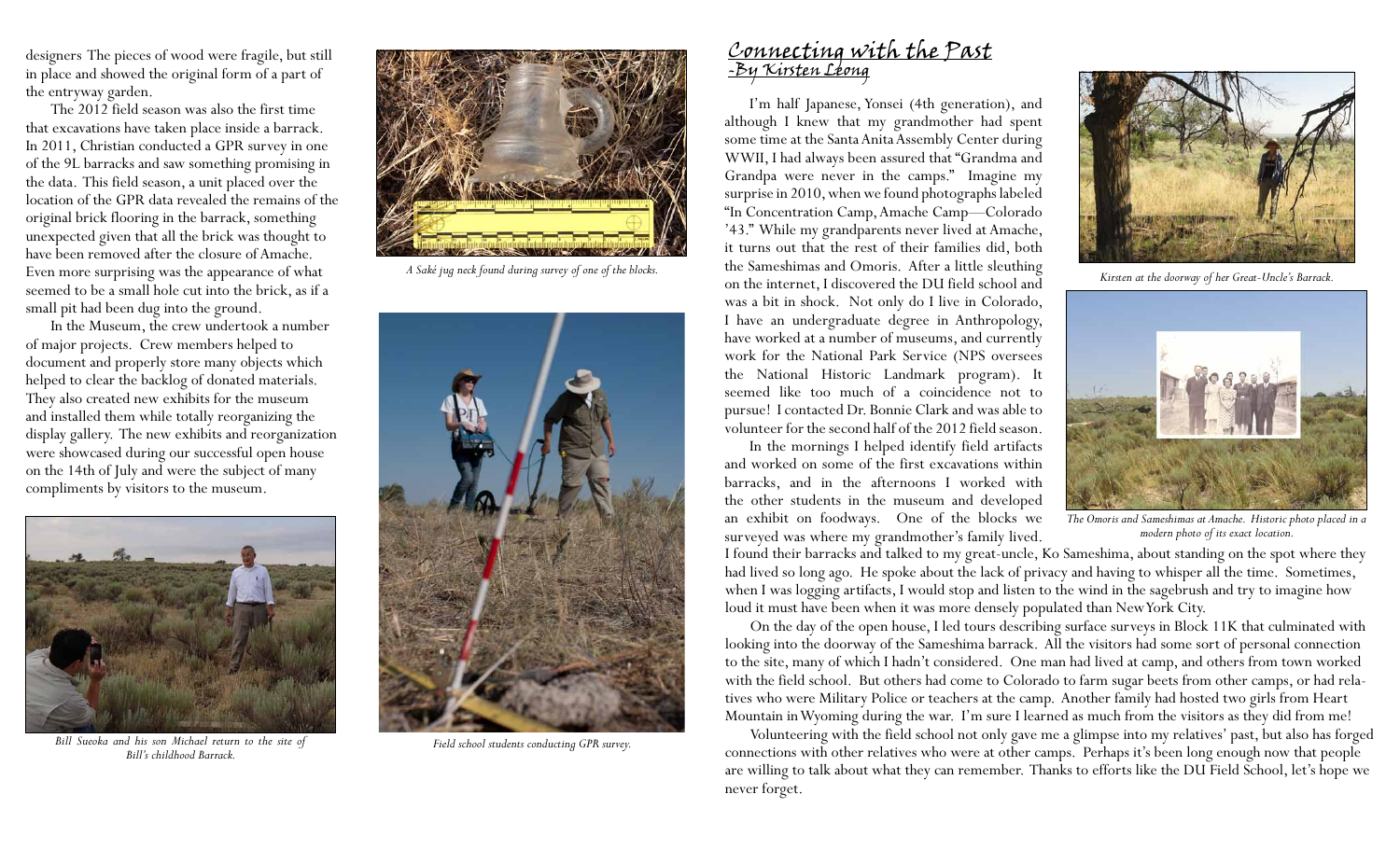designers The pieces of wood were fragile, but still in place and showed the original form of a part of the entryway garden.

The 2012 field season was also the first time that excavations have taken place inside a barrack. In 2011, Christian conducted a GPR survey in one of the 9L barracks and saw something promising in the data. This field season, a unit placed over the location of the GPR data revealed the remains of the original brick flooring in the barrack, something unexpected given that all the brick was thought to have been removed after the closure of Amache. Even more surprising was the appearance of what seemed to be a small hole cut into the brick, as if a small pit had been dug into the ground.

In the Museum, the crew undertook a number of major projects. Crew members helped to document and properly store many objects which helped to clear the backlog of donated materials. They also created new exhibits for the museum and installed them while totally reorganizing the display gallery. The new exhibits and reorganization were showcased during our successful open house on the 14th of July and were the subject of many compliments by visitors to the museum.



*Bill Sueoka and his son Michael return to the site of Field school students conducting GPR survey. Bill's childhood Barrack.*



*A Saké jug neck found during survey of one of the blocks.*



#### Connecting with the Past -By Kirsten Leong

I'm half Japanese, Yonsei (4th generation), and although I knew that my grandmother had spent some time at the Santa Anita Assembly Center during WWII, I had always been assured that "Grandma and Grandpa were never in the camps." Imagine my surprise in 2010, when we found photographs labeled "In Concentration Camp, Amache Camp—Colorado '43." While my grandparents never lived at Amache, it turns out that the rest of their families did, both the Sameshimas and Omoris. After a little sleuthing on the internet, I discovered the DU field school and was a bit in shock. Not only do I live in Colorado, I have an undergraduate degree in Anthropology, have worked at a number of museums, and currently work for the National Park Service (NPS oversees the National Historic Landmark program). It seemed like too much of a coincidence not to pursue! I contacted Dr. Bonnie Clark and was able to volunteer for the second half of the 2012 field season.

In the mornings I helped identify field artifacts and worked on some of the first excavations within barracks, and in the afternoons I worked with the other students in the museum and developed an exhibit on foodways. One of the blocks we surveyed was where my grandmother's family lived.



*Kirsten at the doorway of her Great-Uncle's Barrack.*



*The Omoris and Sameshimas at Amache. Historic photo placed in a modern photo of its exact location.*

I found their barracks and talked to my great-uncle, Ko Sameshima, about standing on the spot where they had lived so long ago. He spoke about the lack of privacy and having to whisper all the time. Sometimes, when I was logging artifacts, I would stop and listen to the wind in the sagebrush and try to imagine how loud it must have been when it was more densely populated than New York City.

On the day of the open house, I led tours describing surface surveys in Block 11K that culminated with looking into the doorway of the Sameshima barrack. All the visitors had some sort of personal connection to the site, many of which I hadn't considered. One man had lived at camp, and others from town worked with the field school. But others had come to Colorado to farm sugar beets from other camps, or had relatives who were Military Police or teachers at the camp. Another family had hosted two girls from Heart Mountain in Wyoming during the war. I'm sure I learned as much from the visitors as they did from me!

Volunteering with the field school not only gave me a glimpse into my relatives' past, but also has forged connections with other relatives who were at other camps. Perhaps it's been long enough now that people are willing to talk about what they can remember. Thanks to efforts like the DU Field School, let's hope we never forget.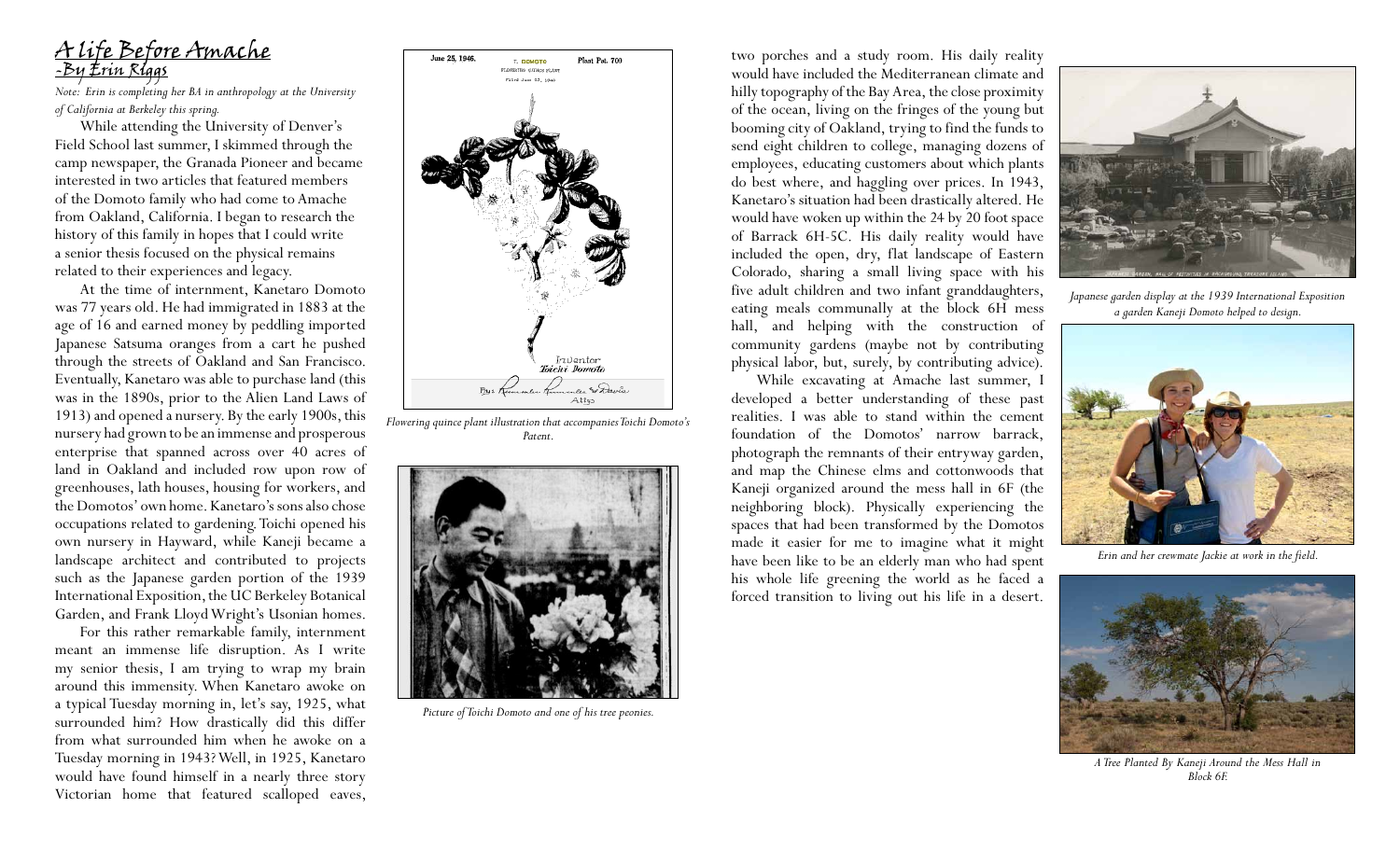

*Note: Erin is completing her BA in anthropology at the University of California at Berkeley this spring.*

While attending the University of Denver's Field School last summer, I skimmed through the camp newspaper, the Granada Pioneer and became interested in two articles that featured members of the Domoto family who had come to Amache from Oakland, California. I began to research the history of this family in hopes that I could write a senior thesis focused on the physical remains related to their experiences and legacy.

At the time of internment, Kanetaro Domoto was 77 years old. He had immigrated in 1883 at the age of 16 and earned money by peddling imported Japanese Satsuma oranges from a cart he pushed through the streets of Oakland and San Francisco. Eventually, Kanetaro was able to purchase land (this was in the 1890s, prior to the Alien Land Laws of 1913) and opened a nursery. By the early 1900s, this nursery had grown to be an immense and prosperous enterprise that spanned across over 40 acres of land in Oakland and included row upon row of greenhouses, lath houses, housing for workers, and the Domotos' own home. Kanetaro's sons also chose occupations related to gardening. Toichi opened his own nursery in Hayward, while Kaneji became a landscape architect and contributed to projects such as the Japanese garden portion of the 1939 International Exposition, the UC Berkeley Botanical Garden, and Frank Lloyd Wright's Usonian homes.

For this rather remarkable family, internment meant an immense life disruption. As I write my senior thesis, I am trying to wrap my brain around this immensity. When Kanetaro awoke on a typical Tuesday morning in, let's say, 1925, what surrounded him? How drastically did this differ from what surrounded him when he awoke on a Tuesday morning in 1943? Well, in 1925, Kanetaro would have found himself in a nearly three story Victorian home that featured scalloped eaves,



*Flowering quince plant illustration that accompanies Toichi Domoto's Patent.* 



*Picture of Toichi Domoto and one of his tree peonies.*

two porches and a study room. His daily reality would have included the Mediterranean climate and hilly topography of the Bay Area, the close proximity of the ocean, living on the fringes of the young but booming city of Oakland, trying to find the funds to send eight children to college, managing dozens of employees, educating customers about which plants do best where, and haggling over prices. In 1943, Kanetaro's situation had been drastically altered. He would have woken up within the 24 by 20 foot space of Barrack 6H-5C. His daily reality would have included the open, dry, flat landscape of Eastern Colorado, sharing a small living space with his five adult children and two infant granddaughters, eating meals communally at the block 6H mess hall, and helping with the construction of community gardens (maybe not by contributing physical labor, but, surely, by contributing advice).

While excavating at Amache last summer, I developed a better understanding of these past realities. I was able to stand within the cement foundation of the Domotos' narrow barrack, photograph the remnants of their entryway garden, and map the Chinese elms and cottonwoods that Kaneji organized around the mess hall in 6F (the neighboring block). Physically experiencing the spaces that had been transformed by the Domotos made it easier for me to imagine what it might have been like to be an elderly man who had spent his whole life greening the world as he faced a forced transition to living out his life in a desert.



*Japanese garden display at the 1939 International Exposition a garden Kaneji Domoto helped to design.*



*Erin and her crewmate Jackie at work in the field.*



*A Tree Planted By Kaneji Around the Mess Hall in Block 6F.*